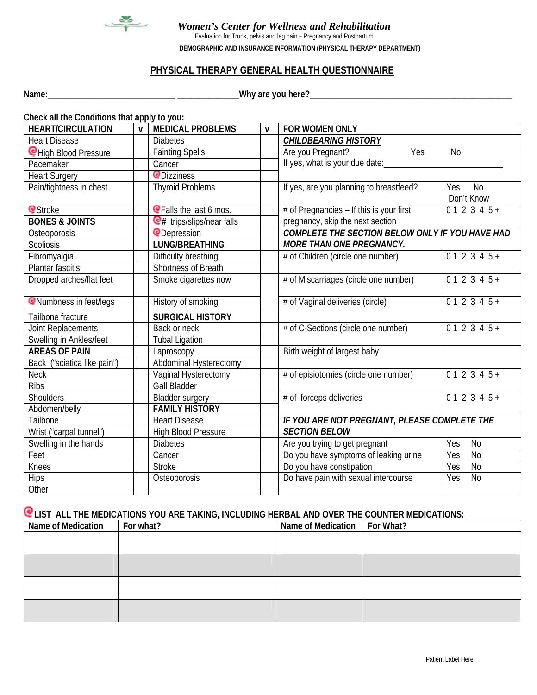

# *Women's Center for Wellness and Rehabilitation*

Evaluation for Trunk, pelvis and leg pain – Pregnancy and Postpartum

**DEMOGRAPHIC AND INSURANCE INFORMATION (PHYSICAL THERAPY DEPARTMENT)**

# **PHYSICAL THERAPY GENERAL HEALTH QUESTIONNAIRE**

**Name:\_\_\_\_\_\_\_\_\_\_\_\_\_\_\_\_\_\_\_\_\_\_\_\_\_\_\_\_\_ \_\_\_\_\_\_\_\_\_\_\_\_\_\_Why are you here?\_\_\_\_\_\_\_\_\_\_\_\_\_\_\_\_\_\_\_\_\_\_\_\_\_\_\_\_\_\_\_\_\_\_\_\_\_\_\_\_\_\_\_\_\_\_**

| Check all the Conditions that apply to you: |              |                                 |                              |                                                                           |                       |  |  |
|---------------------------------------------|--------------|---------------------------------|------------------------------|---------------------------------------------------------------------------|-----------------------|--|--|
| <b>HEART/CIRCULATION</b>                    | $\mathbf{v}$ | <b>MEDICAL PROBLEMS</b>         | $\mathbf v$                  | FOR WOMEN ONLY                                                            |                       |  |  |
| <b>Heart Disease</b>                        |              | <b>Diabetes</b>                 |                              | <b>CHILDBEARING HISTORY</b>                                               |                       |  |  |
| CHigh Blood Pressure                        |              | <b>Fainting Spells</b>          |                              | Yes<br>Are you Pregnant?<br><b>No</b>                                     |                       |  |  |
| Pacemaker                                   |              | Cancer                          |                              | If yes, what is your due date:                                            |                       |  |  |
| <b>Heart Surgery</b>                        |              | <b><i><u></u></i></b> Dizziness |                              |                                                                           |                       |  |  |
| Pain/tightness in chest                     |              | <b>Thyroid Problems</b>         |                              | If yes, are you planning to breastfeed?<br><b>No</b><br>Yes<br>Don't Know |                       |  |  |
| <b>e</b> Stroke                             |              | <b>@Falls the last 6 mos.</b>   |                              | # of Pregnancies - If this is your first                                  | $012345+$             |  |  |
| <b>BONES &amp; JOINTS</b>                   |              | $Q$ # trips/slips/near falls    |                              | pregnancy, skip the next section                                          |                       |  |  |
| Osteoporosis                                |              | <b>@Depression</b>              |                              | COMPLETE THE SECTION BELOW ONLY IF YOU HAVE HAD                           |                       |  |  |
| Scoliosis                                   |              | <b>LUNG/BREATHING</b>           |                              | <b>MORE THAN ONE PREGNANCY.</b>                                           |                       |  |  |
| Fibromyalgia                                |              | Difficulty breathing            |                              | # of Children (circle one number)                                         | $012345+$             |  |  |
| Plantar fascitis                            |              | Shortness of Breath             |                              |                                                                           |                       |  |  |
| Dropped arches/flat feet                    |              | Smoke cigarettes now            |                              | # of Miscarriages (circle one number)                                     | $012345+$             |  |  |
| <b>C</b> Numbness in feet/legs              |              | History of smoking              |                              | # of Vaginal deliveries (circle)                                          | $012345+$             |  |  |
| Tailbone fracture                           |              | <b>SURGICAL HISTORY</b>         |                              |                                                                           |                       |  |  |
| Joint Replacements                          |              | Back or neck                    |                              | # of C-Sections (circle one number)                                       | $012345+$             |  |  |
| Swelling in Ankles/feet                     |              | <b>Tubal Ligation</b>           |                              |                                                                           |                       |  |  |
| <b>AREAS OF PAIN</b>                        |              | Laproscopy                      | Birth weight of largest baby |                                                                           |                       |  |  |
| Back ("sciatica like pain")                 |              | Abdominal Hysterectomy          |                              |                                                                           |                       |  |  |
| <b>Neck</b>                                 |              | Vaginal Hysterectomy            |                              | $012345+$<br># of episiotomies (circle one number)                        |                       |  |  |
| Ribs                                        |              | <b>Gall Bladder</b>             |                              |                                                                           |                       |  |  |
| Shoulders                                   |              | <b>Bladder surgery</b>          |                              | # of forceps deliveries                                                   | $012345+$             |  |  |
| Abdomen/belly                               |              | <b>FAMILY HISTORY</b>           |                              |                                                                           |                       |  |  |
| Tailbone                                    |              | <b>Heart Disease</b>            |                              | IF YOU ARE NOT PREGNANT, PLEASE COMPLETE THE                              |                       |  |  |
| Wrist ("carpal tunnel")                     |              | <b>High Blood Pressure</b>      |                              | <b>SECTION BELOW</b>                                                      |                       |  |  |
| Swelling in the hands                       |              | <b>Diabetes</b>                 |                              | Yes<br>N <sub>0</sub><br>Are you trying to get pregnant                   |                       |  |  |
| Feet                                        |              | Cancer                          |                              | Do you have symptoms of leaking urine                                     | $\overline{N}$<br>Yes |  |  |
| Knees                                       |              | <b>Stroke</b>                   |                              | Do you have constipation                                                  | Yes<br>N <sub>o</sub> |  |  |
| <b>Hips</b>                                 |              | Osteoporosis                    |                              | Do have pain with sexual intercourse                                      | N <sub>0</sub><br>Yes |  |  |
| Other                                       |              |                                 |                              |                                                                           |                       |  |  |

#### **LIST ALL THE MEDICATIONS YOU ARE TAKING, INCLUDING HERBAL AND OVER THE COUNTER MEDICATIONS:**

| Name of Medication | For what? | Name of Medication | For What? |
|--------------------|-----------|--------------------|-----------|
|                    |           |                    |           |
|                    |           |                    |           |
|                    |           |                    |           |
|                    |           |                    |           |
|                    |           |                    |           |
|                    |           |                    |           |
|                    |           |                    |           |
|                    |           |                    |           |